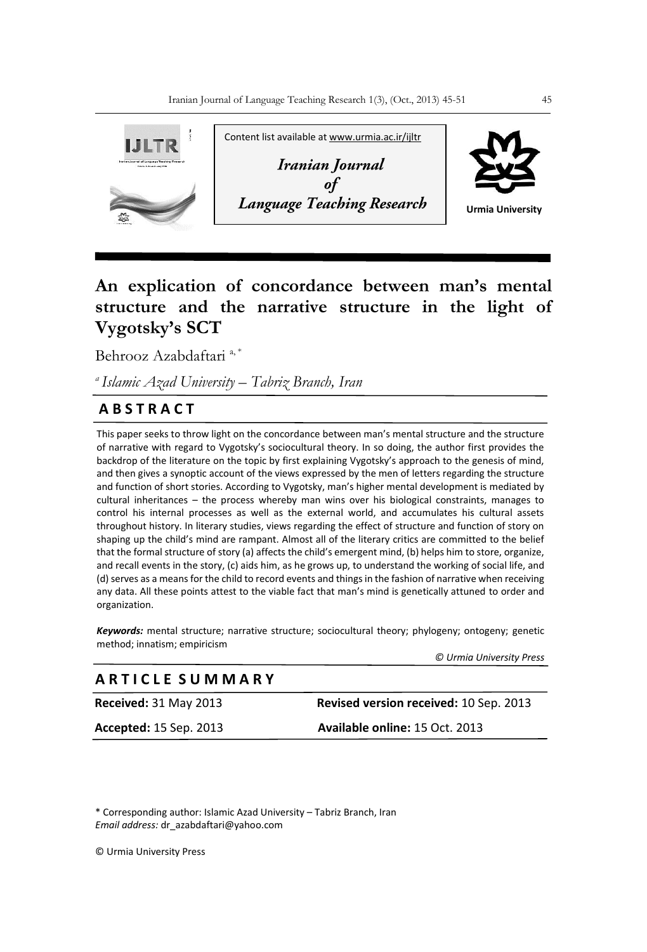

# **An explication of concordance between man's mental structure and the narrative structure in the light of Vygotsky's SCT**

Behrooz Azabdaftari<sup>a,\*</sup>

*<sup>a</sup>Islamic Azad University – Tabriz Branch, Iran*

# **A B S T R A C T**

This paper seeks to throw light on the concordance between man's mental structure and the structure of narrative with regard to Vygotsky's sociocultural theory. In so doing, the author first provides the backdrop of the literature on the topic by first explaining Vygotsky's approach to the genesis of mind, and then gives a synoptic account of the views expressed by the men of letters regarding the structure and function of short stories. According to Vygotsky, man's higher mental development is mediated by cultural inheritances – the process whereby man wins over his biological constraints, manages to control his internal processes as well as the external world, and accumulates his cultural assets throughout history. In literary studies, views regarding the effect of structure and function of story on shaping up the child's mind are rampant. Almost all of the literary critics are committed to the belief that the formal structure of story (a) affects the child's emergent mind, (b) helps him to store, organize, and recall events in the story, (c) aids him, as he grows up, to understand the working of social life, and (d) serves as a means for the child to record events and things in the fashion of narrative when receiving any data. All these points attest to the viable fact that man's mind is genetically attuned to order and organization.

*Keywords:* mental structure; narrative structure; sociocultural theory; phylogeny; ontogeny; genetic method; innatism; empiricism

 *© Urmia University Press*

## **A R T I C L E S U M M A R Y**

**Received:** 31 May 2013 **Revised version received:** 10 Sep. 2013

**Accepted:** 15 Sep. 2013 **Available online:** 15 Oct. 2013

\* Corresponding author: Islamic Azad University – Tabriz Branch, Iran *Email address:* dr\_azabdaftari@yahoo.com

© Urmia University Press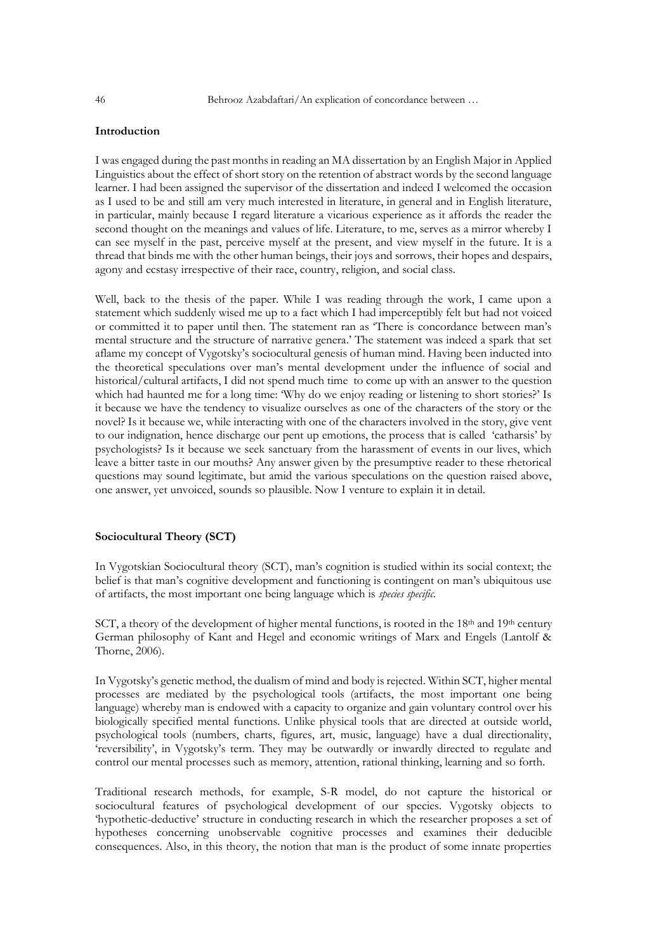### **Introduction**

I was engaged during the past months in reading an MA dissertation by an English Major in Applied Linguistics about the effect of short story on the retention of abstract words by the second language learner. I had been assigned the supervisor of the dissertation and indeed I welcomed the occasion as I used to be and still am very much interested in literature, in general and in English literature, in particular, mainly because I regard literature a vicarious experience as it affords the reader the second thought on the meanings and values of life. Literature, to me, serves as a mirror whereby I can see myself in the past, perceive myself at the present, and view myself in the future. It is a thread that binds me with the other human beings, their joys and sorrows, their hopes and despairs, agony and ecstasy irrespective of their race, country, religion, and social class.

Well, back to the thesis of the paper. While I was reading through the work, I came upon a statement which suddenly wised me up to a fact which I had imperceptibly felt but had not voiced or committed it to paper until then. The statement ran as 'There is concordance between man's mental structure and the structure of narrative genera.' The statement was indeed a spark that set aflame my concept of Vygotsky's sociocultural genesis of human mind. Having been inducted into the theoretical speculations over man's mental development under the influence of social and historical/cultural artifacts, I did not spend much time to come up with an answer to the question which had haunted me for a long time: 'Why do we enjoy reading or listening to short stories?' Is it because we have the tendency to visualize ourselves as one of the characters of the story or the novel? Is it because we, while interacting with one of the characters involved in the story, give vent to our indignation, hence discharge our pent up emotions, the process that is called 'catharsis' by psychologists? Is it because we seek sanctuary from the harassment of events in our lives, which leave a bitter taste in our mouths? Any answer given by the presumptive reader to these rhetorical questions may sound legitimate, but amid the various speculations on the question raised above, one answer, yet unvoiced, sounds so plausible. Now I venture to explain it in detail.

#### **Sociocultural Theory (SCT)**

In Vygotskian Sociocultural theory (SCT), man's cognition is studied within its social context; the belief is that man's cognitive development and functioning is contingent on man's ubiquitous use of artifacts, the most important one being language which is *species specific.*

SCT, a theory of the development of higher mental functions, is rooted in the 18<sup>th</sup> and 19<sup>th</sup> century German philosophy of Kant and Hegel and economic writings of Marx and Engels (Lantolf & Thorne, 2006).

In Vygotsky's genetic method, the dualism of mind and body is rejected. Within SCT, higher mental processes are mediated by the psychological tools (artifacts, the most important one being language) whereby man is endowed with a capacity to organize and gain voluntary control over his biologically specified mental functions. Unlike physical tools that are directed at outside world, psychological tools (numbers, charts, figures, art, music, language) have a dual directionality, 'reversibility', in Vygotsky's term. They may be outwardly or inwardly directed to regulate and control our mental processes such as memory, attention, rational thinking, learning and so forth.

Traditional research methods, for example, S-R model, do not capture the historical or sociocultural features of psychological development of our species. Vygotsky objects to 'hypothetic-deductive' structure in conducting research in which the researcher proposes a set of hypotheses concerning unobservable cognitive processes and examines their deducible consequences. Also, in this theory, the notion that man is the product of some innate properties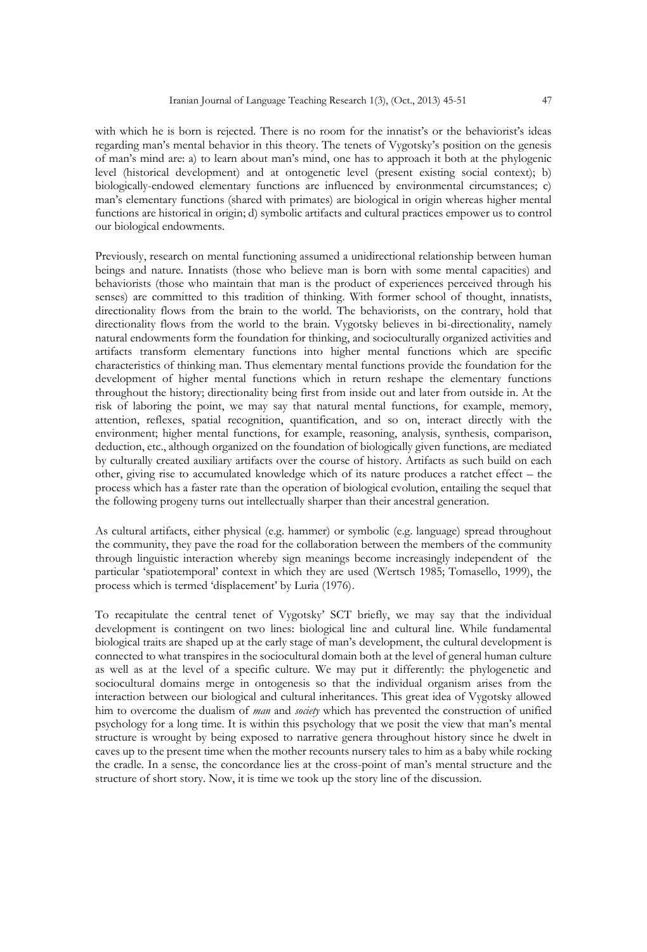with which he is born is rejected. There is no room for the innatist's or the behaviorist's ideas regarding man's mental behavior in this theory. The tenets of Vygotsky's position on the genesis of man's mind are: a) to learn about man's mind, one has to approach it both at the phylogenic level (historical development) and at ontogenetic level (present existing social context); b) biologically-endowed elementary functions are influenced by environmental circumstances; c) man's elementary functions (shared with primates) are biological in origin whereas higher mental functions are historical in origin; d) symbolic artifacts and cultural practices empower us to control our biological endowments.

Previously, research on mental functioning assumed a unidirectional relationship between human beings and nature. Innatists (those who believe man is born with some mental capacities) and behaviorists (those who maintain that man is the product of experiences perceived through his senses) are committed to this tradition of thinking. With former school of thought, innatists, directionality flows from the brain to the world. The behaviorists, on the contrary, hold that directionality flows from the world to the brain. Vygotsky believes in bi-directionality, namely natural endowments form the foundation for thinking, and socioculturally organized activities and artifacts transform elementary functions into higher mental functions which are specific characteristics of thinking man. Thus elementary mental functions provide the foundation for the development of higher mental functions which in return reshape the elementary functions throughout the history; directionality being first from inside out and later from outside in. At the risk of laboring the point, we may say that natural mental functions, for example, memory, attention, reflexes, spatial recognition, quantification, and so on, interact directly with the environment; higher mental functions, for example, reasoning, analysis, synthesis, comparison, deduction, etc., although organized on the foundation of biologically given functions, are mediated by culturally created auxiliary artifacts over the course of history. Artifacts as such build on each other, giving rise to accumulated knowledge which of its nature produces a ratchet effect – the process which has a faster rate than the operation of biological evolution, entailing the sequel that the following progeny turns out intellectually sharper than their ancestral generation.

As cultural artifacts, either physical (e.g. hammer) or symbolic (e.g. language) spread throughout the community, they pave the road for the collaboration between the members of the community through linguistic interaction whereby sign meanings become increasingly independent of the particular 'spatiotemporal' context in which they are used (Wertsch 1985; Tomasello, 1999), the process which is termed 'displacement' by Luria (1976).

To recapitulate the central tenet of Vygotsky' SCT briefly, we may say that the individual development is contingent on two lines: biological line and cultural line. While fundamental biological traits are shaped up at the early stage of man's development, the cultural development is connected to what transpires in the sociocultural domain both at the level of general human culture as well as at the level of a specific culture. We may put it differently: the phylogenetic and sociocultural domains merge in ontogenesis so that the individual organism arises from the interaction between our biological and cultural inheritances. This great idea of Vygotsky allowed him to overcome the dualism of *man* and *society* which has prevented the construction of unified psychology for a long time. It is within this psychology that we posit the view that man's mental structure is wrought by being exposed to narrative genera throughout history since he dwelt in caves up to the present time when the mother recounts nursery tales to him as a baby while rocking the cradle. In a sense, the concordance lies at the cross-point of man's mental structure and the structure of short story. Now, it is time we took up the story line of the discussion.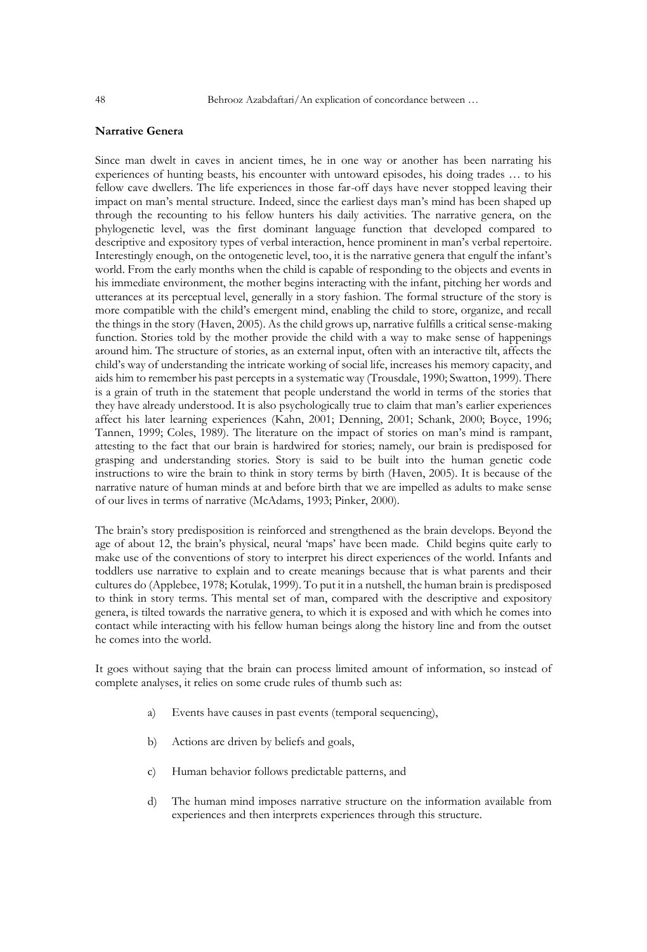### **Narrative Genera**

Since man dwelt in caves in ancient times, he in one way or another has been narrating his experiences of hunting beasts, his encounter with untoward episodes, his doing trades … to his fellow cave dwellers. The life experiences in those far-off days have never stopped leaving their impact on man's mental structure. Indeed, since the earliest days man's mind has been shaped up through the recounting to his fellow hunters his daily activities. The narrative genera, on the phylogenetic level, was the first dominant language function that developed compared to descriptive and expository types of verbal interaction, hence prominent in man's verbal repertoire. Interestingly enough, on the ontogenetic level, too, it is the narrative genera that engulf the infant's world. From the early months when the child is capable of responding to the objects and events in his immediate environment, the mother begins interacting with the infant, pitching her words and utterances at its perceptual level, generally in a story fashion. The formal structure of the story is more compatible with the child's emergent mind, enabling the child to store, organize, and recall the things in the story (Haven, 2005). As the child grows up, narrative fulfills a critical sense-making function. Stories told by the mother provide the child with a way to make sense of happenings around him. The structure of stories, as an external input, often with an interactive tilt, affects the child's way of understanding the intricate working of social life, increases his memory capacity, and aids him to remember his past percepts in a systematic way (Trousdale, 1990; Swatton, 1999). There is a grain of truth in the statement that people understand the world in terms of the stories that they have already understood. It is also psychologically true to claim that man's earlier experiences affect his later learning experiences (Kahn, 2001; Denning, 2001; Schank, 2000; Boyce, 1996; Tannen, 1999; Coles, 1989). The literature on the impact of stories on man's mind is rampant, attesting to the fact that our brain is hardwired for stories; namely, our brain is predisposed for grasping and understanding stories. Story is said to be built into the human genetic code instructions to wire the brain to think in story terms by birth (Haven, 2005). It is because of the narrative nature of human minds at and before birth that we are impelled as adults to make sense of our lives in terms of narrative (McAdams, 1993; Pinker, 2000).

The brain's story predisposition is reinforced and strengthened as the brain develops. Beyond the age of about 12, the brain's physical, neural 'maps' have been made. Child begins quite early to make use of the conventions of story to interpret his direct experiences of the world. Infants and toddlers use narrative to explain and to create meanings because that is what parents and their cultures do (Applebee, 1978; Kotulak, 1999). To put it in a nutshell, the human brain is predisposed to think in story terms. This mental set of man, compared with the descriptive and expository genera, is tilted towards the narrative genera, to which it is exposed and with which he comes into contact while interacting with his fellow human beings along the history line and from the outset he comes into the world.

It goes without saying that the brain can process limited amount of information, so instead of complete analyses, it relies on some crude rules of thumb such as:

- a) Events have causes in past events (temporal sequencing),
- b) Actions are driven by beliefs and goals,
- c) Human behavior follows predictable patterns, and
- d) The human mind imposes narrative structure on the information available from experiences and then interprets experiences through this structure.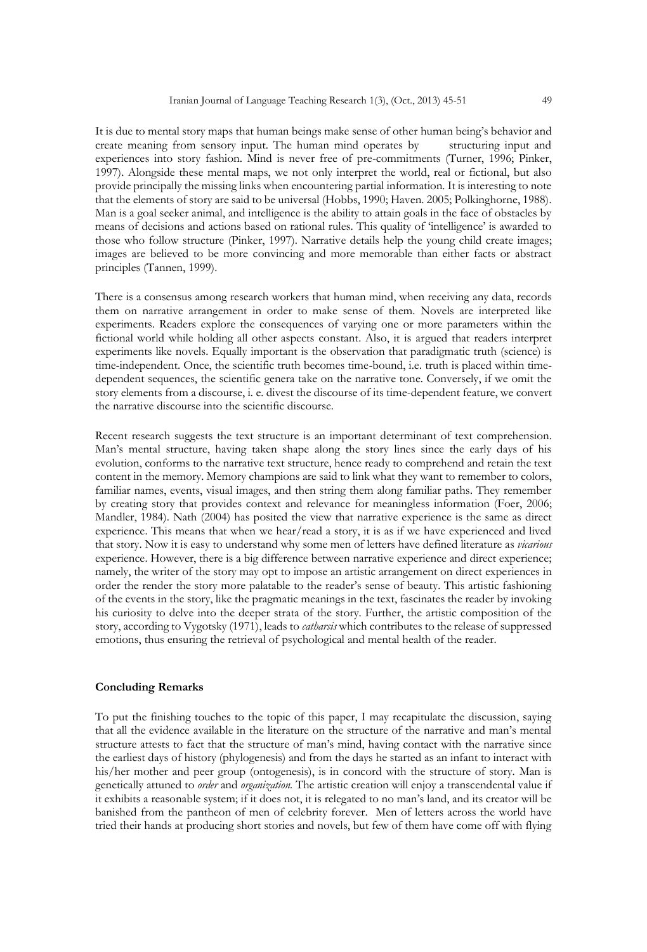It is due to mental story maps that human beings make sense of other human being's behavior and create meaning from sensory input. The human mind operates by structuring input and experiences into story fashion. Mind is never free of pre-commitments (Turner, 1996; Pinker, 1997). Alongside these mental maps, we not only interpret the world, real or fictional, but also provide principally the missing links when encountering partial information. It is interesting to note that the elements of story are said to be universal (Hobbs, 1990; Haven. 2005; Polkinghorne, 1988). Man is a goal seeker animal, and intelligence is the ability to attain goals in the face of obstacles by means of decisions and actions based on rational rules. This quality of 'intelligence' is awarded to those who follow structure (Pinker, 1997). Narrative details help the young child create images; images are believed to be more convincing and more memorable than either facts or abstract principles (Tannen, 1999).

There is a consensus among research workers that human mind, when receiving any data, records them on narrative arrangement in order to make sense of them. Novels are interpreted like experiments. Readers explore the consequences of varying one or more parameters within the fictional world while holding all other aspects constant. Also, it is argued that readers interpret experiments like novels. Equally important is the observation that paradigmatic truth (science) is time-independent. Once, the scientific truth becomes time-bound, i.e. truth is placed within timedependent sequences, the scientific genera take on the narrative tone. Conversely, if we omit the story elements from a discourse, i. e. divest the discourse of its time-dependent feature, we convert the narrative discourse into the scientific discourse.

Recent research suggests the text structure is an important determinant of text comprehension. Man's mental structure, having taken shape along the story lines since the early days of his evolution, conforms to the narrative text structure, hence ready to comprehend and retain the text content in the memory. Memory champions are said to link what they want to remember to colors, familiar names, events, visual images, and then string them along familiar paths. They remember by creating story that provides context and relevance for meaningless information (Foer, 2006; Mandler, 1984). Nath (2004) has posited the view that narrative experience is the same as direct experience. This means that when we hear/read a story, it is as if we have experienced and lived that story. Now it is easy to understand why some men of letters have defined literature as *vicarious* experience. However, there is a big difference between narrative experience and direct experience; namely, the writer of the story may opt to impose an artistic arrangement on direct experiences in order the render the story more palatable to the reader's sense of beauty. This artistic fashioning of the events in the story, like the pragmatic meanings in the text, fascinates the reader by invoking his curiosity to delve into the deeper strata of the story. Further, the artistic composition of the story, according to Vygotsky (1971), leads to *catharsis* which contributes to the release of suppressed emotions, thus ensuring the retrieval of psychological and mental health of the reader.

#### **Concluding Remarks**

To put the finishing touches to the topic of this paper, I may recapitulate the discussion, saying that all the evidence available in the literature on the structure of the narrative and man's mental structure attests to fact that the structure of man's mind, having contact with the narrative since the earliest days of history (phylogenesis) and from the days he started as an infant to interact with his/her mother and peer group (ontogenesis), is in concord with the structure of story. Man is genetically attuned to *order* and *organization.* The artistic creation will enjoy a transcendental value if it exhibits a reasonable system; if it does not, it is relegated to no man's land, and its creator will be banished from the pantheon of men of celebrity forever. Men of letters across the world have tried their hands at producing short stories and novels, but few of them have come off with flying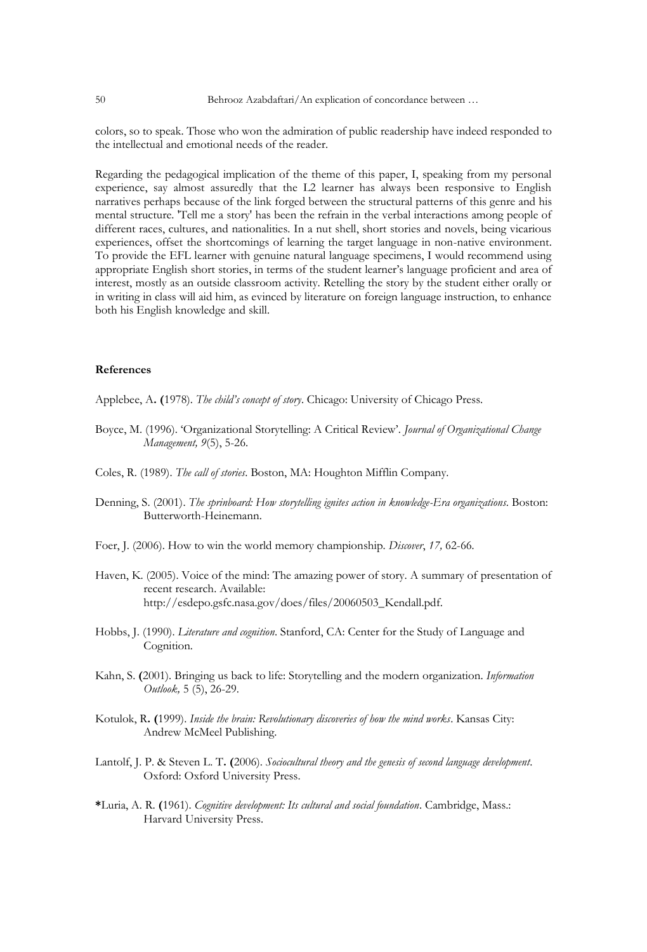colors, so to speak. Those who won the admiration of public readership have indeed responded to the intellectual and emotional needs of the reader.

Regarding the pedagogical implication of the theme of this paper, I, speaking from my personal experience, say almost assuredly that the L2 learner has always been responsive to English narratives perhaps because of the link forged between the structural patterns of this genre and his mental structure. 'Tell me a story' has been the refrain in the verbal interactions among people of different races, cultures, and nationalities. In a nut shell, short stories and novels, being vicarious experiences, offset the shortcomings of learning the target language in non-native environment. To provide the EFL learner with genuine natural language specimens, I would recommend using appropriate English short stories, in terms of the student learner's language proficient and area of interest, mostly as an outside classroom activity. Retelling the story by the student either orally or in writing in class will aid him, as evinced by literature on foreign language instruction, to enhance both his English knowledge and skill.

#### **References**

Applebee, A**. (**1978). *The child's concept of story*. Chicago: University of Chicago Press.

- Boyce, M. (1996). 'Organizational Storytelling: A Critical Review'. *Journal of Organizational Change Management, 9*(5), 5-26.
- Coles, R. (1989). *The call of stories*. Boston, MA: Houghton Mifflin Company.
- Denning, S. (2001). *The sprinboard: How storytelling ignites action in knowledge-Era organizations*. Boston: Butterworth-Heinemann.
- Foer, J. (2006). How to win the world memory championship. *Discover*, *17,* 62-66*.*
- Haven, K. (2005). Voice of the mind: The amazing power of story. A summary of presentation of recent research. Available: [http://esdepo.gsfc.nasa.gov/does/files/20060503\\_K](http://esdepo.gsfc.nasa.gov/does/files/20060503_)endall.pdf.
- Hobbs, J. (1990). *Literature and cognition*. Stanford, CA: Center for the Study of Language and Cognition.
- Kahn, S. **(**2001). Bringing us back to life: Storytelling and the modern organization. *Information Outlook,* 5 (5), 26-29.
- Kotulok, R**. (**1999). *Inside the brain: Revolutionary discoveries of how the mind works*. Kansas City: Andrew McMeel Publishing.
- Lantolf, J. P. & Steven L. T**. (**2006). *Sociocultural theory and the genesis of second language development*. Oxford: Oxford University Press.
- **\***Luria, A. R. **(**1961). *Cognitive development: Its cultural and social foundation*. Cambridge, Mass.: Harvard University Press.